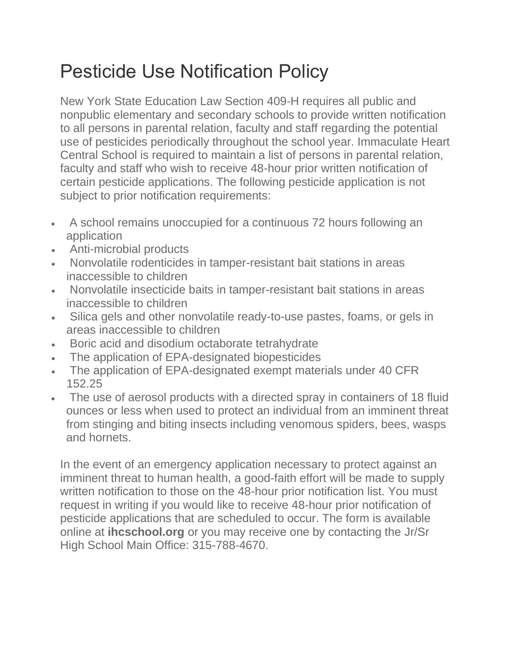## Pesticide Use Notification Policy

New York State Education Law Section 409-H requires all public and nonpublic elementary and secondary schools to provide written notification to all persons in parental relation, faculty and staff regarding the potential use of pesticides periodically throughout the school year. Immaculate Heart Central School is required to maintain a list of persons in parental relation, faculty and staff who wish to receive 48-hour prior written notification of certain pesticide applications. The following pesticide application is not subject to prior notification requirements:

- A school remains unoccupied for a continuous 72 hours following an application
- Anti-microbial products
- Nonvolatile rodenticides in tamper-resistant bait stations in areas inaccessible to children
- Nonvolatile insecticide baits in tamper-resistant bait stations in areas inaccessible to children
- Silica gels and other nonvolatile ready-to-use pastes, foams, or gels in areas inaccessible to children
- Boric acid and disodium octaborate tetrahydrate
- The application of EPA-designated biopesticides
- The application of EPA-designated exempt materials under 40 CFR 152.25
- The use of aerosol products with a directed spray in containers of 18 fluid ounces or less when used to protect an individual from an imminent threat from stinging and biting insects including venomous spiders, bees, wasps and hornets.

In the event of an emergency application necessary to protect against an imminent threat to human health, a good-faith effort will be made to supply written notification to those on the 48-hour prior notification list. You must request in writing if you would like to receive 48-hour prior notification of pesticide applications that are scheduled to occur. The form is available online at **ihcschool.org** or you may receive one by contacting the Jr/Sr High School Main Office: 315-788-4670.